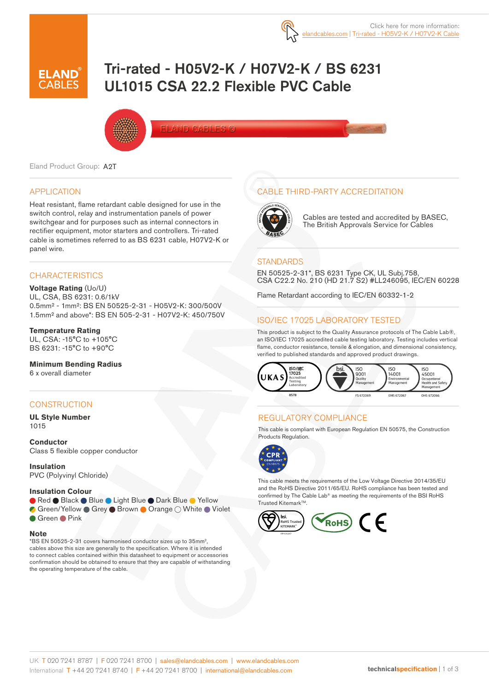

# Tri-rated - H05V2-K / H07V2-K / BS 6231 UL1015 CSA 22.2 Flexible PVC Cable



Eland Product Group: A2T

### APPLICATION

Heat resistant, flame retardant cable designed for use in the switch control, relay and instrumentation panels of power switchgear and for purposes such as internal connectors in rectifier equipment, motor starters and controllers. Tri-rated cable is sometimes referred to as BS 6231 cable, H07V2-K or panel wire.

### **CHARACTERISTICS**

**Voltage Rating** (Uo/U) UL, CSA, BS 6231: 0.6/1kV 0.5mm² - 1mm²: BS EN 50525-2-31 - H05V2-K: 300/500V 1.5mm² and above\*: BS EN 505-2-31 - H07V2-K: 450/750V

#### **Temperature Rating**

UL, CSA: -15°C to +105°C BS 6231: -15°C to +90°C

#### **Minimum Bending Radius**

6 x overall diameter

### **CONSTRUCTION**

**UL Style Number**  1015

**Conductor** Class 5 flexible copper conductor

**Insulation** PVC (Polyvinyl Chloride)

#### **Insulation Colour**

● Red ● Black ● Blue ● Light Blue ● Dark Blue ● Yellow

Green/Yellow Grey Brown Orange O White Violet Green Pink

#### **Note**

\*BS EN 50525-2-31 covers harmonised conductor sizes up to 35mm2, cables above this size are generally to the specification. Where it is intended to connect cables contained within this datasheet to equipment or accessories confirmation should be obtained to ensure that they are capable of withstanding the operating temperature of the cable.

### CABLE THIRD-PARTY ACCREDITATION



Cables are tested and accredited by BASEC, The British Approvals Service for Cables

#### **STANDARDS**

EN 50525-2-31\*, BS 6231 Type CK, UL Subj.758, CSA C22.2 No. 210 (HD 21.7 S2) #LL246095, IEC/EN 60228

Flame Retardant according to IEC/EN 60332-1-2

### ISO/IEC 17025 LABORATORY TESTED

This product is subject to the Quality Assurance protocols of The Cable Lab®, an ISO/IEC 17025 accredited cable testing laboratory. Testing includes vertical flame, conductor resistance, tensile & elongation, and dimensional consistency, verified to published standards and approved product drawings.



### REGULATORY COMPLIANCE

This cable is compliant with European Regulation EN 50575, the Construction Products Regulation.



This cable meets the requirements of the Low Voltage Directive 2014/35/EU and the RoHS Directive 2011/65/EU. RoHS compliance has been tested and confirmed by The Cable Lab® as meeting the requirements of the BSI RoHS Trusted Kitemark<sup>™</sup>.

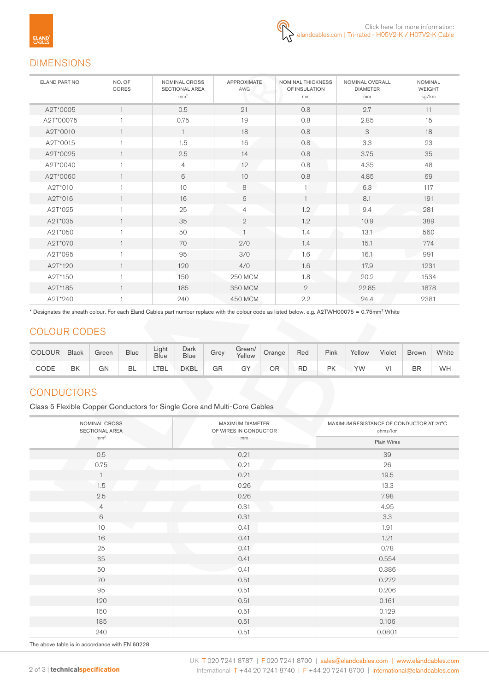# DIMENSIONS

| ELAND PART NO. | NO. OF<br>CORES | NOMINAL CROSS<br><b>SECTIONAL AREA</b><br>mm <sup>2</sup> | <b>APPROXIMATE</b><br>AWG | NOMINAL THICKNESS<br>OF INSULATION<br>mm | NOMINAL OVERALL<br><b>DIAMETER</b><br>mm | <b>NOMINAL</b><br><b>WEIGHT</b><br>kg/km |
|----------------|-----------------|-----------------------------------------------------------|---------------------------|------------------------------------------|------------------------------------------|------------------------------------------|
| A2T*0005       |                 | 0.5                                                       | 21                        | 0.8                                      | 2.7                                      | 11                                       |
| A2T*00075      |                 | 0.75                                                      | 19                        | 0.8                                      | 2.85                                     | 15                                       |
| A2T*0010       |                 | $\overline{1}$                                            | 18                        | 0.8                                      | 3                                        | 18                                       |
| A2T*0015       |                 | 1.5                                                       | 16                        | 0.8                                      | 3.3                                      | 23                                       |
| A2T*0025       |                 | 2.5                                                       | 14                        | 0.8                                      | 3.75                                     | 35                                       |
| A2T*0040       |                 | $\overline{4}$                                            | 12                        | 0.8                                      | 4.35                                     | 48                                       |
| A2T*0060       |                 | 6                                                         | 10                        | 0.8                                      | 4.85                                     | 69                                       |
| A2T*010        |                 | 10                                                        | 8                         |                                          | 6.3                                      | 117                                      |
| A2T*016        | $\mathbf{1}$    | 16                                                        | 6                         |                                          | 8.1                                      | 191                                      |
| A2T*025        |                 | 25                                                        | $\overline{4}$            | 1.2                                      | 9.4                                      | 281                                      |
| A2T*035        |                 | 35                                                        | $\overline{2}$            | 1.2                                      | 10.9                                     | 389                                      |
| A2T*050        |                 | 50                                                        |                           | 1.4                                      | 13.1                                     | 560                                      |
| A2T*070        |                 | 70                                                        | 2/0                       | 1.4                                      | 15.1                                     | 774                                      |
| A2T*095        |                 | 95                                                        | 3/0                       | 1.6                                      | 16.1                                     | 991                                      |
| A2T*120        | $\mathbf{1}$    | 120                                                       | 4/0                       | 1.6                                      | 17.9                                     | 1231                                     |
| A2T*150        |                 | 150                                                       | <b>250 MCM</b>            | 1.8                                      | 20.2                                     | 1534                                     |
| A2T*185        |                 | 185                                                       | 350 MCM                   | $\overline{2}$                           | 22.85                                    | 1878                                     |
| A2T*240        |                 | 240                                                       | 450 MCM                   | 2.2                                      | 24.4                                     | 2381                                     |

\* Designates the sheath colour. For each Eland Cables part number replace with the colour code as listed below. e.g. A2TWH00075 = 0.75mm<sup>2</sup> White

# COLOUR CODES

| <b>COLOUR</b> | <b>Black</b> | Green | <b>Blue</b> | Light<br>Blue | Dark<br><b>Blue</b> | Grev | Green/<br>Yellow | Orange | Red       | Pink | Yellow | Violet | <b>Brown</b> | White |
|---------------|--------------|-------|-------------|---------------|---------------------|------|------------------|--------|-----------|------|--------|--------|--------------|-------|
| CODE          | BK           | GΝ    | BL          | TBL           | <b>DKBL</b>         | GR   | GY               | ΟR     | <b>RD</b> | PK   | YW     |        | BR           | WH    |

# **CONDUCTORS**

Class 5 Flexible Copper Conductors for Single Core and Multi-Core Cables

| NOMINAL CROSS<br><b>SECTIONAL AREA</b> | MAXIMUM DIAMETER<br>OF WIRES IN CONDUCTOR | MAXIMUM RESISTANCE OF CONDUCTOR AT 20°C<br>ohms/km |  |  |  |
|----------------------------------------|-------------------------------------------|----------------------------------------------------|--|--|--|
| mm <sup>2</sup>                        | mm                                        | Plain Wires                                        |  |  |  |
| 0.5                                    | 0.21                                      | 39                                                 |  |  |  |
| 0.75                                   | 0.21                                      | 26                                                 |  |  |  |
| $\mathbf{1}$                           | 0.21                                      | 19.5                                               |  |  |  |
| 1.5                                    | 0.26                                      | 13.3                                               |  |  |  |
| 2.5                                    | 0.26                                      | 7.98                                               |  |  |  |
| $\overline{4}$                         | 0.31                                      | 4.95                                               |  |  |  |
| $\,6\,$                                | 0.31                                      | 3.3                                                |  |  |  |
| 10                                     | 0.41                                      | 1.91                                               |  |  |  |
| 16                                     | 0.41                                      | 1.21                                               |  |  |  |
| 25                                     | 0.41                                      | 0.78                                               |  |  |  |
| 35                                     | 0.41                                      | 0.554                                              |  |  |  |
| 50                                     | 0.41                                      | 0.386                                              |  |  |  |
| 70                                     | 0.51                                      | 0.272                                              |  |  |  |
| 95                                     | 0.51                                      | 0.206                                              |  |  |  |
| 120                                    | 0.51                                      | 0.161                                              |  |  |  |
| 150                                    | 0.51                                      | 0.129                                              |  |  |  |
| 185                                    | 0.51                                      | 0.106                                              |  |  |  |
| 240                                    | 0.51                                      | 0.0801                                             |  |  |  |

The above table is in accordance with EN 60228